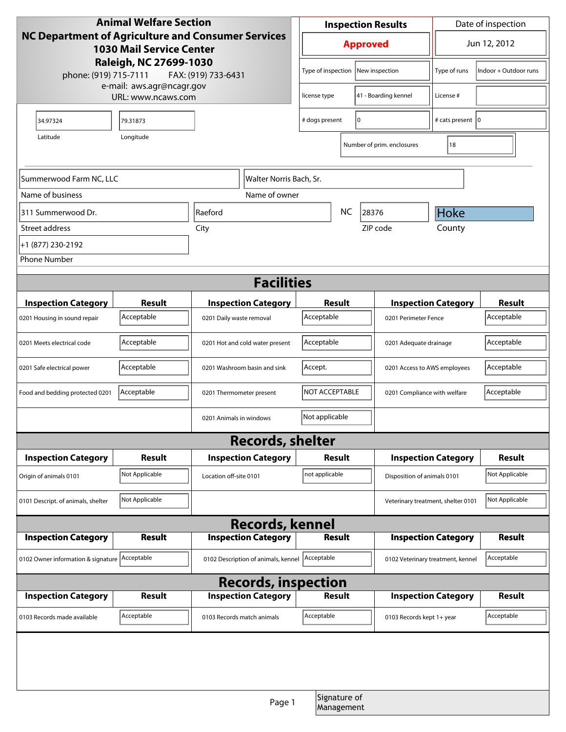| <b>Animal Welfare Section</b>                                                                                                                                                                |                |                                     |                                      | <b>Inspection Results</b>  |                              |                                                      | Date of inspection         |                |  |
|----------------------------------------------------------------------------------------------------------------------------------------------------------------------------------------------|----------------|-------------------------------------|--------------------------------------|----------------------------|------------------------------|------------------------------------------------------|----------------------------|----------------|--|
| NC Department of Agriculture and Consumer Services<br><b>1030 Mail Service Center</b><br>Raleigh, NC 27699-1030<br>phone: (919) 715-7111<br>FAX: (919) 733-6431<br>e-mail: aws.agr@ncagr.gov |                |                                     | <b>Approved</b>                      |                            |                              | Jun 12, 2012                                         |                            |                |  |
|                                                                                                                                                                                              |                |                                     | Type of inspection<br>New inspection |                            | Type of runs                 | Indoor + Outdoor runs                                |                            |                |  |
| URL: www.ncaws.com                                                                                                                                                                           |                |                                     | license type                         | 41 - Boarding kennel       |                              | License #                                            |                            |                |  |
| 34.97324                                                                                                                                                                                     | 79.31873       |                                     |                                      |                            | I٥<br># dogs present         |                                                      | # cats present   0         |                |  |
| Longitude<br>Latitude                                                                                                                                                                        |                |                                     |                                      | Number of prim. enclosures |                              |                                                      | 18                         |                |  |
|                                                                                                                                                                                              |                |                                     |                                      |                            |                              |                                                      |                            |                |  |
| Summerwood Farm NC, LLC<br>Walter Norris Bach, Sr.                                                                                                                                           |                |                                     |                                      |                            |                              |                                                      |                            |                |  |
| Name of business<br>Name of owner                                                                                                                                                            |                |                                     |                                      |                            |                              |                                                      |                            |                |  |
| 311 Summerwood Dr.                                                                                                                                                                           |                | Raeford                             |                                      | NC<br>28376                |                              |                                                      | Hoke                       |                |  |
| Street address                                                                                                                                                                               |                | City                                |                                      |                            |                              | ZIP code                                             | County                     |                |  |
| +1 (877) 230-2192                                                                                                                                                                            |                |                                     |                                      |                            |                              |                                                      |                            |                |  |
| <b>Phone Number</b>                                                                                                                                                                          |                |                                     |                                      |                            |                              |                                                      |                            |                |  |
| <b>Facilities</b>                                                                                                                                                                            |                |                                     |                                      |                            |                              |                                                      |                            |                |  |
| <b>Inspection Category</b>                                                                                                                                                                   | <b>Result</b>  |                                     | <b>Inspection Category</b>           | Result                     |                              | <b>Inspection Category</b>                           |                            | <b>Result</b>  |  |
| 0201 Housing in sound repair                                                                                                                                                                 | Acceptable     | 0201 Daily waste removal            |                                      | Acceptable                 |                              | 0201 Perimeter Fence                                 |                            | Acceptable     |  |
| 0201 Meets electrical code                                                                                                                                                                   | Acceptable     | 0201 Hot and cold water present     |                                      | Acceptable                 |                              | 0201 Adequate drainage                               |                            | Acceptable     |  |
| 0201 Safe electrical power                                                                                                                                                                   | Acceptable     |                                     | 0201 Washroom basin and sink         | Accept.                    | 0201 Access to AWS employees |                                                      |                            | Acceptable     |  |
| Food and bedding protected 0201                                                                                                                                                              | Acceptable     | 0201 Thermometer present            |                                      | NOT ACCEPTABLE             |                              | 0201 Compliance with welfare                         |                            | Acceptable     |  |
|                                                                                                                                                                                              |                | 0201 Animals in windows             |                                      | Not applicable             |                              |                                                      |                            |                |  |
|                                                                                                                                                                                              |                |                                     | <b>Records, shelter</b>              |                            |                              |                                                      |                            |                |  |
| <b>Inspection Category</b>                                                                                                                                                                   | <b>Result</b>  |                                     | <b>Inspection Category</b>           | Result                     |                              | <b>Inspection Category</b>                           |                            | <b>Result</b>  |  |
| Origin of animals 0101                                                                                                                                                                       | Not Applicable | Location off-site 0101              |                                      | not applicable             |                              | Disposition of animals 0101                          |                            | Not Applicable |  |
| 0101 Descript. of animals, shelter                                                                                                                                                           | Not Applicable |                                     |                                      |                            |                              | Not Applicable<br>Veterinary treatment, shelter 0101 |                            |                |  |
| <b>Records, kennel</b>                                                                                                                                                                       |                |                                     |                                      |                            |                              |                                                      |                            |                |  |
| <b>Inspection Category</b>                                                                                                                                                                   | Result         |                                     | <b>Inspection Category</b>           | <b>Result</b>              |                              | <b>Inspection Category</b>                           |                            | Result         |  |
| 0102 Owner information & signature Acceptable                                                                                                                                                |                | 0102 Description of animals, kennel |                                      | Acceptable                 |                              | Acceptable<br>0102 Veterinary treatment, kennel      |                            |                |  |
| <b>Records, inspection</b>                                                                                                                                                                   |                |                                     |                                      |                            |                              |                                                      |                            |                |  |
| <b>Inspection Category</b>                                                                                                                                                                   | <b>Result</b>  |                                     | <b>Inspection Category</b>           | Result                     |                              |                                                      | <b>Inspection Category</b> | <b>Result</b>  |  |
| 0103 Records made available                                                                                                                                                                  | Acceptable     |                                     | 0103 Records match animals           | Acceptable                 |                              | 0103 Records kept 1+ year                            |                            | Acceptable     |  |
|                                                                                                                                                                                              |                |                                     |                                      |                            |                              |                                                      |                            |                |  |
|                                                                                                                                                                                              |                |                                     |                                      |                            |                              |                                                      |                            |                |  |
|                                                                                                                                                                                              |                |                                     | Page 1                               |                            | Signature of<br>Management   |                                                      |                            |                |  |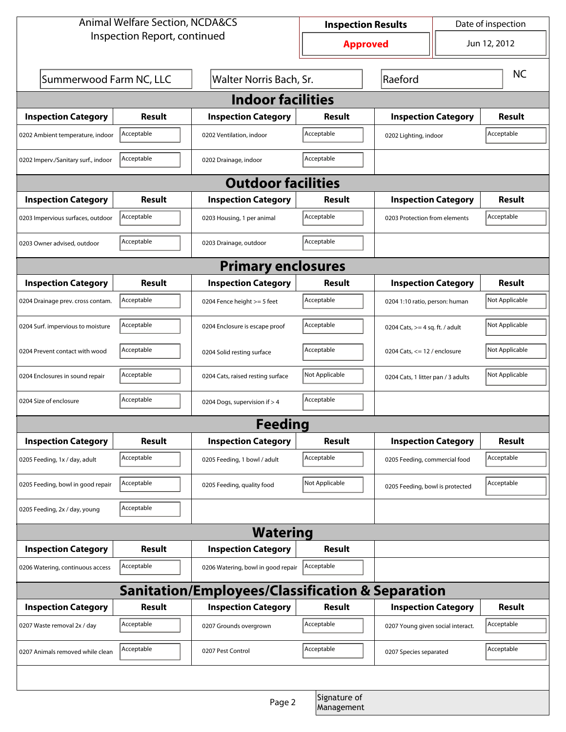| <b>Animal Welfare Section, NCDA&amp;CS</b>       |                                                    |                                    | <b>Inspection Results</b> |                                   | Date of inspection                 |               |  |  |  |
|--------------------------------------------------|----------------------------------------------------|------------------------------------|---------------------------|-----------------------------------|------------------------------------|---------------|--|--|--|
| Inspection Report, continued                     |                                                    |                                    | <b>Approved</b>           |                                   |                                    | Jun 12, 2012  |  |  |  |
|                                                  | Summerwood Farm NC, LLC<br>Walter Norris Bach, Sr. |                                    | Raeford                   |                                   |                                    | <b>NC</b>     |  |  |  |
| <b>Indoor facilities</b>                         |                                                    |                                    |                           |                                   |                                    |               |  |  |  |
| <b>Inspection Category</b>                       | Result                                             | <b>Inspection Category</b>         | Result                    | <b>Inspection Category</b>        |                                    | <b>Result</b> |  |  |  |
| 0202 Ambient temperature, indoor                 | Acceptable                                         | 0202 Ventilation, indoor           | Acceptable                | 0202 Lighting, indoor             |                                    | Acceptable    |  |  |  |
| 0202 Imperv./Sanitary surf., indoor              | Acceptable                                         | 0202 Drainage, indoor              | Acceptable                |                                   |                                    |               |  |  |  |
| <b>Outdoor facilities</b>                        |                                                    |                                    |                           |                                   |                                    |               |  |  |  |
| <b>Inspection Category</b>                       | Result                                             | <b>Inspection Category</b>         | Result                    |                                   | <b>Inspection Category</b>         |               |  |  |  |
| 0203 Impervious surfaces, outdoor                | Acceptable                                         | 0203 Housing, 1 per animal         | Acceptable                |                                   | 0203 Protection from elements      |               |  |  |  |
| 0203 Owner advised, outdoor                      | Acceptable                                         | 0203 Drainage, outdoor             | Acceptable                |                                   |                                    |               |  |  |  |
| <b>Primary enclosures</b>                        |                                                    |                                    |                           |                                   |                                    |               |  |  |  |
| <b>Inspection Category</b>                       | Result                                             | <b>Inspection Category</b>         | Result                    |                                   | <b>Inspection Category</b>         |               |  |  |  |
| 0204 Drainage prev. cross contam.                | Acceptable                                         | 0204 Fence height >= 5 feet        | Acceptable                |                                   | 0204 1:10 ratio, person: human     |               |  |  |  |
| 0204 Surf. impervious to moisture                | Acceptable                                         | 0204 Enclosure is escape proof     | Acceptable                |                                   | 0204 Cats, $>=$ 4 sq. ft. / adult  |               |  |  |  |
| 0204 Prevent contact with wood                   | Acceptable                                         | 0204 Solid resting surface         | Acceptable                |                                   | 0204 Cats, $<= 12$ / enclosure     |               |  |  |  |
| 0204 Enclosures in sound repair                  | Acceptable                                         | 0204 Cats, raised resting surface  | Not Applicable            |                                   | 0204 Cats, 1 litter pan / 3 adults |               |  |  |  |
| 0204 Size of enclosure                           | Acceptable                                         | 0204 Dogs, supervision if > 4      | Acceptable                |                                   |                                    |               |  |  |  |
|                                                  |                                                    | Feedina                            |                           |                                   |                                    |               |  |  |  |
| <b>Inspection Category</b>                       | <b>Result</b>                                      | <b>Inspection Category</b>         | <b>Result</b>             | <b>Inspection Category</b>        |                                    | <b>Result</b> |  |  |  |
| 0205 Feeding, 1x / day, adult                    | Acceptable                                         | 0205 Feeding, 1 bowl / adult       | Acceptable                | 0205 Feeding, commercial food     |                                    | Acceptable    |  |  |  |
| 0205 Feeding, bowl in good repair                | Acceptable                                         | 0205 Feeding, quality food         | Not Applicable            | 0205 Feeding, bowl is protected   |                                    | Acceptable    |  |  |  |
| 0205 Feeding, 2x / day, young                    | Acceptable                                         |                                    |                           |                                   |                                    |               |  |  |  |
| <b>Watering</b>                                  |                                                    |                                    |                           |                                   |                                    |               |  |  |  |
| <b>Inspection Category</b>                       | <b>Result</b>                                      | <b>Inspection Category</b>         | <b>Result</b>             |                                   |                                    |               |  |  |  |
| 0206 Watering, continuous access                 | Acceptable                                         | 0206 Watering, bowl in good repair | Acceptable                |                                   |                                    |               |  |  |  |
| Sanitation/Employees/Classification & Separation |                                                    |                                    |                           |                                   |                                    |               |  |  |  |
| <b>Inspection Category</b>                       | <b>Result</b>                                      | <b>Inspection Category</b>         | Result                    | <b>Inspection Category</b>        |                                    | <b>Result</b> |  |  |  |
| 0207 Waste removal 2x / day                      | Acceptable                                         | 0207 Grounds overgrown             | Acceptable                | 0207 Young given social interact. |                                    | Acceptable    |  |  |  |
| 0207 Animals removed while clean                 | Acceptable                                         | 0207 Pest Control                  | Acceptable                | 0207 Species separated            |                                    | Acceptable    |  |  |  |
|                                                  |                                                    |                                    |                           |                                   |                                    |               |  |  |  |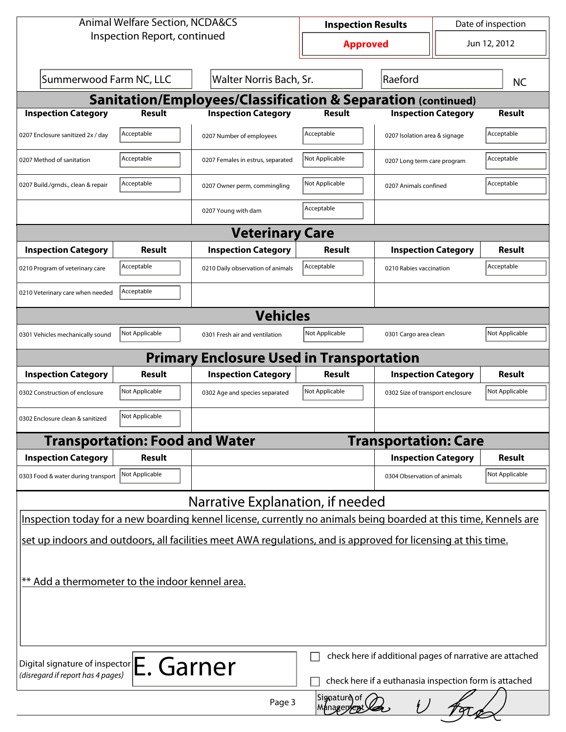| <b>Animal Welfare Section, NCDA&amp;CS</b>                                                                                                |                |                                                 | <b>Inspection Results</b>                   |                                         | Date of inspection |                |  |  |  |  |
|-------------------------------------------------------------------------------------------------------------------------------------------|----------------|-------------------------------------------------|---------------------------------------------|-----------------------------------------|--------------------|----------------|--|--|--|--|
| Inspection Report, continued                                                                                                              |                |                                                 | Jun 12, 2012<br><b>Approved</b>             |                                         |                    |                |  |  |  |  |
| Summerwood Farm NC, LLC<br>Walter Norris Bach, Sr.                                                                                        |                |                                                 |                                             | <b>NC</b>                               |                    |                |  |  |  |  |
| <b>Sanitation/Employees/Classification &amp; Separation (continued)</b>                                                                   |                |                                                 |                                             |                                         |                    |                |  |  |  |  |
| <b>Inspection Category</b>                                                                                                                | <b>Result</b>  | <b>Inspection Category</b>                      | <b>Result</b>                               | <b>Inspection Category</b>              |                    | <b>Result</b>  |  |  |  |  |
| 0207 Enclosure sanitized 2x / day                                                                                                         | Acceptable     | 0207 Number of employees                        | Acceptable<br>0207 Isolation area & signage |                                         |                    |                |  |  |  |  |
| 0207 Method of sanitation                                                                                                                 | Acceptable     | 0207 Females in estrus, separated               | Not Applicable                              | 0207 Long term care program             |                    | Acceptable     |  |  |  |  |
| 0207 Build./grnds., clean & repair                                                                                                        | Acceptable     | 0207 Owner perm, commingling                    | Not Applicable                              | 0207 Animals confined                   |                    | Acceptable     |  |  |  |  |
|                                                                                                                                           |                | 0207 Young with dam                             | Acceptable                                  |                                         |                    |                |  |  |  |  |
|                                                                                                                                           |                | <b>Veterinary Care</b>                          |                                             |                                         |                    |                |  |  |  |  |
| <b>Inspection Category</b>                                                                                                                | Result         | <b>Inspection Category</b>                      | Result                                      | <b>Inspection Category</b>              | Result             |                |  |  |  |  |
| 0210 Program of veterinary care                                                                                                           | Acceptable     | 0210 Daily observation of animals               | Acceptable                                  | 0210 Rabies vaccination                 |                    | Acceptable     |  |  |  |  |
| 0210 Veterinary care when needed                                                                                                          | Acceptable     |                                                 |                                             |                                         |                    |                |  |  |  |  |
| <b>Vehicles</b>                                                                                                                           |                |                                                 |                                             |                                         |                    |                |  |  |  |  |
| 0301 Vehicles mechanically sound                                                                                                          | Not Applicable | 0301 Fresh air and ventilation                  | Not Applicable                              | Not Applicable<br>0301 Cargo area clean |                    |                |  |  |  |  |
|                                                                                                                                           |                | <b>Primary Enclosure Used in Transportation</b> |                                             |                                         |                    |                |  |  |  |  |
| <b>Inspection Category</b>                                                                                                                | Result         | <b>Inspection Category</b>                      | <b>Result</b>                               | <b>Inspection Category</b>              |                    | Result         |  |  |  |  |
| 0302 Construction of enclosure                                                                                                            | Not Applicable | 0302 Age and species separated                  | Not Applicable                              | 0302 Size of transport enclosure        |                    | Not Applicable |  |  |  |  |
| 0302 Enclosure clean & sanitized                                                                                                          | Not Applicable |                                                 |                                             |                                         |                    |                |  |  |  |  |
| <b>Transportation: Food and Water</b>                                                                                                     |                |                                                 |                                             | <b>Transportation: Care</b>             |                    |                |  |  |  |  |
| <b>Inspection Category</b><br>Result                                                                                                      |                |                                                 |                                             | <b>Inspection Category</b>              | <b>Result</b>      |                |  |  |  |  |
| 0303 Food & water during transport Not Applicable                                                                                         |                |                                                 |                                             | 0304 Observation of animals             |                    | Not Applicable |  |  |  |  |
|                                                                                                                                           |                | Narrative Explanation, if needed                |                                             |                                         |                    |                |  |  |  |  |
| Inspection today for a new boarding kennel license, currently no animals being boarded at this time, Kennels are                          |                |                                                 |                                             |                                         |                    |                |  |  |  |  |
| set up indoors and outdoors, all facilities meet AWA regulations, and is approved for licensing at this time.                             |                |                                                 |                                             |                                         |                    |                |  |  |  |  |
|                                                                                                                                           |                |                                                 |                                             |                                         |                    |                |  |  |  |  |
| ** Add a thermometer to the indoor kennel area.                                                                                           |                |                                                 |                                             |                                         |                    |                |  |  |  |  |
|                                                                                                                                           |                |                                                 |                                             |                                         |                    |                |  |  |  |  |
|                                                                                                                                           |                |                                                 |                                             |                                         |                    |                |  |  |  |  |
|                                                                                                                                           |                |                                                 |                                             |                                         |                    |                |  |  |  |  |
| check here if additional pages of narrative are attached<br>Digital signature of inspector E. Garner<br>(disregard if report has 4 pages) |                |                                                 |                                             |                                         |                    |                |  |  |  |  |
| check here if a euthanasia inspection form is attached                                                                                    |                |                                                 |                                             |                                         |                    |                |  |  |  |  |
| Signature of<br>Page 3<br><b>Managem</b>                                                                                                  |                |                                                 |                                             |                                         |                    |                |  |  |  |  |